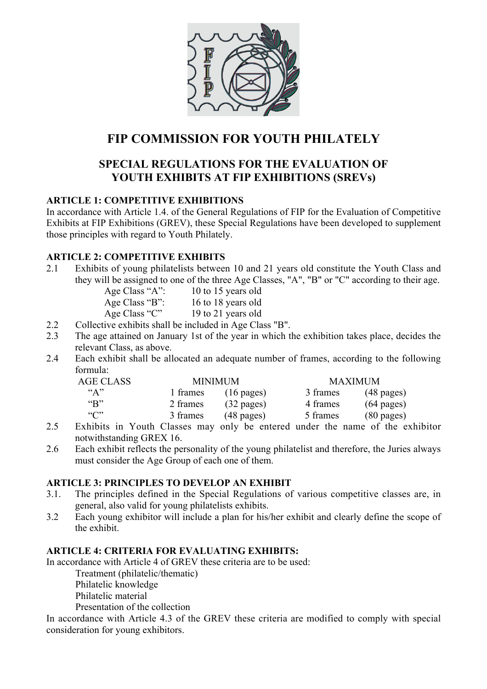

# **FIP COMMISSION FOR YOUTH PHILATELY**

## **SPECIAL REGULATIONS FOR THE EVALUATION OF YOUTH EXHIBITS AT FIP EXHIBITIONS (SREVs)**

#### **ARTICLE 1: COMPETITIVE EXHIBITIONS**

In accordance with Article 1.4. of the General Regulations of FIP for the Evaluation of Competitive Exhibits at FIP Exhibitions (GREV), these Special Regulations have been developed to supplement those principles with regard to Youth Philately.

### **ARTICLE 2: COMPETITIVE EXHIBITS**

2.1 Exhibits of young philatelists between 10 and 21 years old constitute the Youth Class and they will be assigned to one of the three Age Classes, "A", "B" or "C" according to their age.

| Age Class "A": | 10 to 15 years old |
|----------------|--------------------|
| Age Class "B": | 16 to 18 years old |
| Age Class "C"  | 19 to 21 years old |

- 2.2 Collective exhibits shall be included in Age Class "B".
- 2.3 The age attained on January 1st of the year in which the exhibition takes place, decides the relevant Class, as above.
- 2.4 Each exhibit shall be allocated an adequate number of frames, according to the following formula:

| <b>AGE CLASS</b>         | <b>MINIMUM</b><br><b>MAXIMUM</b> |                      |          |                      |  |
|--------------------------|----------------------------------|----------------------|----------|----------------------|--|
| $\mathbf{A}$ "           | 1 frames                         | $(16 \text{ pages})$ | 3 frames | $(48 \text{ pages})$ |  |
| $\mathbf{G}(\mathbf{R})$ | 2 frames                         | $(32 \text{ pages})$ | 4 frames | $(64 \text{ pages})$ |  |
| $\lq\lq\lq\lq\lq\lq$     | 3 frames                         | $(48 \text{ pages})$ | 5 frames | $(80 \text{ pages})$ |  |
|                          |                                  |                      |          |                      |  |

- 2.5 Exhibits in Youth Classes may only be entered under the name of the exhibitor notwithstanding GREX 16.
- 2.6 Each exhibit reflects the personality of the young philatelist and therefore, the Juries always must consider the Age Group of each one of them.

#### **ARTICLE 3: PRINCIPLES TO DEVELOP AN EXHIBIT**

- 3.1. The principles defined in the Special Regulations of various competitive classes are, in general, also valid for young philatelists exhibits.
- 3.2 Each young exhibitor will include a plan for his/her exhibit and clearly define the scope of the exhibit.

#### **ARTICLE 4: CRITERIA FOR EVALUATING EXHIBITS:**

In accordance with Article 4 of GREV these criteria are to be used:

Treatment (philatelic/thematic)

Philatelic knowledge

Philatelic material

Presentation of the collection

In accordance with Article 4.3 of the GREV these criteria are modified to comply with special consideration for young exhibitors.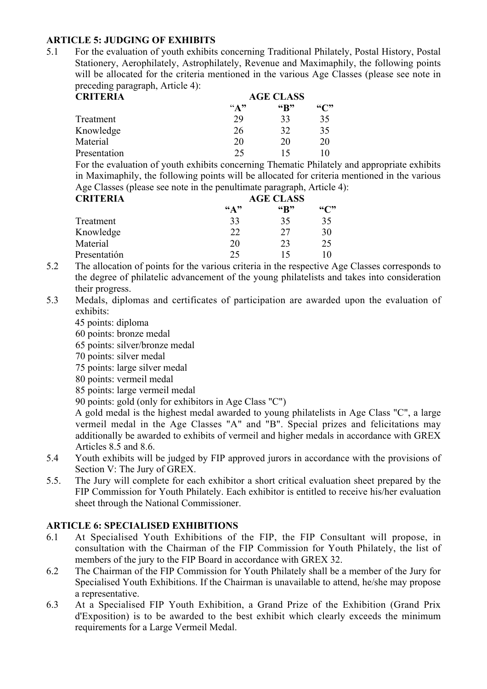#### **ARTICLE 5: JUDGING OF EXHIBITS**

5.1 For the evaluation of youth exhibits concerning Traditional Philately, Postal History, Postal Stationery, Aerophilately, Astrophilately, Revenue and Maximaphily, the following points will be allocated for the criteria mentioned in the various Age Classes (please see note in preceding paragraph, Article 4):

| <b>CRITERIA</b> | <b>AGE CLASS</b> |                          |               |  |
|-----------------|------------------|--------------------------|---------------|--|
|                 | $\mathbf{A}$ "   | $\mathbf{G}(\mathbf{R})$ | $\mathcal{C}$ |  |
| Treatment       | 29               | 33                       | 35            |  |
| Knowledge       | 26               | 32                       | 35            |  |
| Material        | 20               | 20                       | 20            |  |
| Presentation    | 25               | $\overline{\phantom{a}}$ |               |  |

For the evaluation of youth exhibits concerning Thematic Philately and appropriate exhibits in Maximaphily, the following points will be allocated for criteria mentioned in the various Age Classes (please see note in the penultimate paragraph, Article 4):

| <b>CRITERIA</b> | <b>AGE CLASS</b>         |                    |               |  |
|-----------------|--------------------------|--------------------|---------------|--|
|                 | $\mathbf{G}(\mathbf{A})$ | $\mathfrak{G}_{R}$ | $\mathcal{C}$ |  |
| Treatment       | 33                       | 35                 | 35            |  |
| Knowledge       | 22                       | 27                 | 30            |  |
| Material        | 20                       | 23                 | 25            |  |
| Presentatión    | 25                       | 15                 | ۱0            |  |

- 5.2 The allocation of points for the various criteria in the respective Age Classes corresponds to the degree of philatelic advancement of the young philatelists and takes into consideration their progress.
- 5.3 Medals, diplomas and certificates of participation are awarded upon the evaluation of exhibits:
	- 45 points: diploma
	- 60 points: bronze medal
	- 65 points: silver/bronze medal
	- 70 points: silver medal
	- 75 points: large silver medal
	- 80 points: vermeil medal
	- 85 points: large vermeil medal
	- 90 points: gold (only for exhibitors in Age Class "C")

A gold medal is the highest medal awarded to young philatelists in Age Class "C", a large vermeil medal in the Age Classes "A" and "B". Special prizes and felicitations may additionally be awarded to exhibits of vermeil and higher medals in accordance with GREX Articles 8.5 and 8.6.

- 5.4 Youth exhibits will be judged by FIP approved jurors in accordance with the provisions of Section V: The Jury of GREX.
- 5.5. The Jury will complete for each exhibitor a short critical evaluation sheet prepared by the FIP Commission for Youth Philately. Each exhibitor is entitled to receive his/her evaluation sheet through the National Commissioner.

#### **ARTICLE 6: SPECIALISED EXHIBITIONS**

- 6.1 At Specialised Youth Exhibitions of the FIP, the FIP Consultant will propose, in consultation with the Chairman of the FIP Commission for Youth Philately, the list of members of the jury to the FIP Board in accordance with GREX 32.
- 6.2 The Chairman of the FIP Commission for Youth Philately shall be a member of the Jury for Specialised Youth Exhibitions. If the Chairman is unavailable to attend, he/she may propose a representative.
- 6.3 At a Specialised FIP Youth Exhibition, a Grand Prize of the Exhibition (Grand Prix d'Exposition) is to be awarded to the best exhibit which clearly exceeds the minimum requirements for a Large Vermeil Medal.